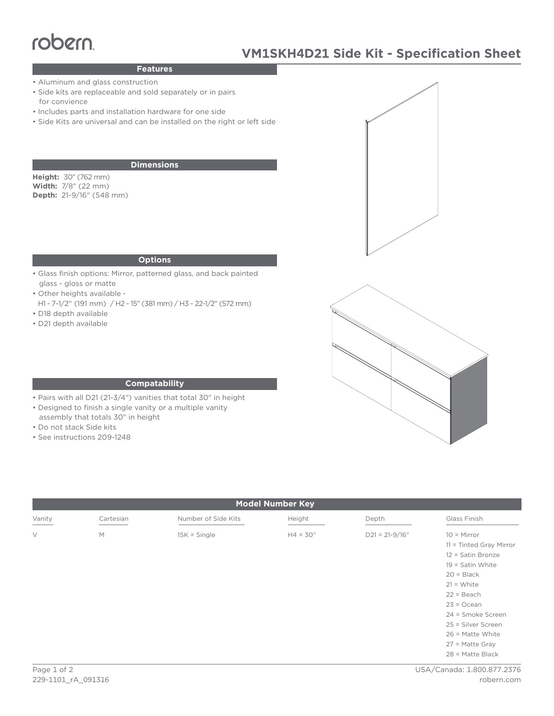# robern

# **VM1SKH4D21 Side Kit - Specification Sheet**

### **Features**

- Aluminum and glass construction
- Side kits are replaceable and sold separately or in pairs for convience
- Includes parts and installation hardware for one side
- Side Kits are universal and can be installed on the right or left side

#### **Dimensions**

**Height:** 30" (762 mm) **Width:** 7/8" (22 mm) **Depth:** 21-9/16" (548 mm)

#### **Options**

- Glass finish options: Mirror, patterned glass, and back painted glass - gloss or matte
- Other heights available -
- H1 7-1/2" (191 mm) / H2 15" (381 mm) / H3 22-1/2" (572 mm) • D18 depth available
- D21 depth available





#### **Compatability**

- Pairs with all D21 (21-3/4") vanities that total 30" in height
- Designed to finish a single vanity or a multiple vanity
- assembly that totals 30" in height
- Do not stack Side kits
- See instructions 209-1248

| <b>Model Number Key</b> |           |                     |            |                    |                                                                                                                                                                                                                                                                     |
|-------------------------|-----------|---------------------|------------|--------------------|---------------------------------------------------------------------------------------------------------------------------------------------------------------------------------------------------------------------------------------------------------------------|
| Vanity                  | Cartesian | Number of Side Kits | Height     | Depth              | Glass Finish                                                                                                                                                                                                                                                        |
| $\vee$                  | M         | $1SK = Single$      | $H4 = 30"$ | $D21 = 21 - 9/16"$ | $10 =$ Mirror<br>$11 =$ Tinted Gray Mirror<br>$12 =$ Satin Bronze<br>$19 =$ Satin White<br>$20 = Black$<br>$21 = White$<br>$22 = Beach$<br>$23 = Ocean$<br>24 = Smoke Screen<br>25 = Silver Screen<br>$26$ = Matte White<br>$27$ = Matte Gray<br>$28$ = Matte Black |